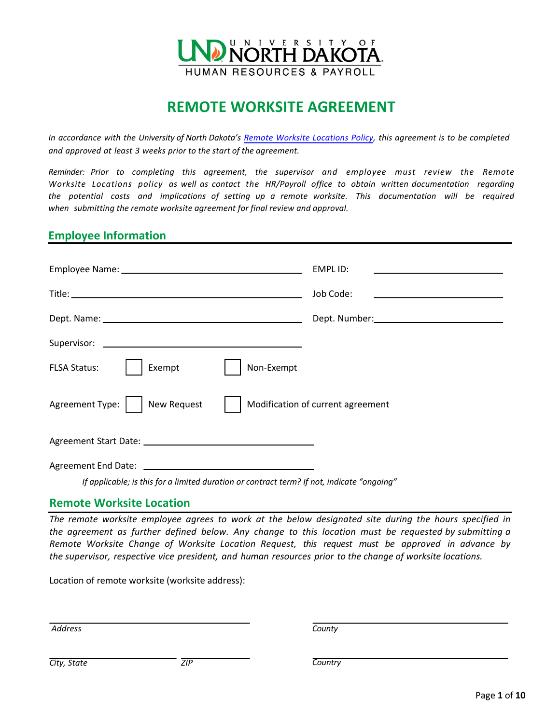

# **REMOTE WORKSITE AGREEMENT**

*In accordance with the University of North Dakota's [Remote Worksite Locations Policy,](https://und.policystat.com/policy/4994216/latest/) this agreement is to be completed and approved at least 3 weeks prior to the start of the agreement.* 

*Reminder: Prior to completing this agreement, the supervisor and employee must review the Remote Worksite Locations policy as well as contact the HR/Payroll office to obtain written documentation regarding the potential costs and implications of setting up a remote worksite. This documentation will be required when submitting the remote worksite agreement for final review and approval.* 

# **Employee Information**

|                                                                                            | EMPL ID:<br><u> 1989 - Johann Stein, mars et al. (</u>                                                                             |
|--------------------------------------------------------------------------------------------|------------------------------------------------------------------------------------------------------------------------------------|
|                                                                                            | Job Code:<br><u> 1989 - John Stein, mars and der Stein Stein Stein Stein Stein Stein Stein Stein Stein Stein Stein Stein Stein</u> |
|                                                                                            |                                                                                                                                    |
|                                                                                            |                                                                                                                                    |
| Exempt<br>Non-Exempt<br><b>FLSA Status:</b>                                                |                                                                                                                                    |
| <b>New Request</b><br>Agreement Type:                                                      | Modification of current agreement                                                                                                  |
|                                                                                            |                                                                                                                                    |
|                                                                                            |                                                                                                                                    |
| If applicable; is this for a limited duration or contract term? If not, indicate "ongoing" |                                                                                                                                    |

### **Remote Worksite Location**

*The remote worksite employee agrees to work at the below designated site during the hours specified in the agreement as further defined below. Any change to this location must be requested by submitting a Remote Worksite Change of Worksite Location Request, this request must be approved in advance by the supervisor, respective vice president, and human resources prior to the change of worksite locations.*

Location of remote worksite (worksite address):

*Address* 

*County* 

*Country*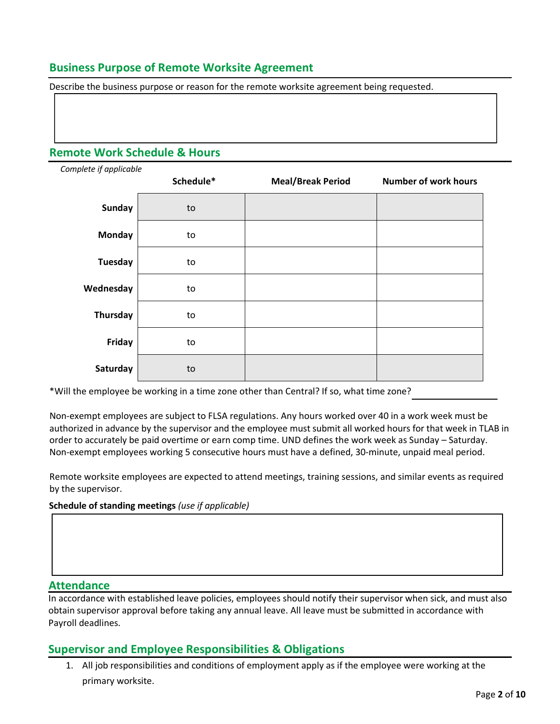# **Business Purpose of Remote Worksite Agreement**

Describe the business purpose or reason for the remote worksite agreement being requested.

# **Remote Work Schedule & Hours**

| Complete if applicable |           |                          |                             |  |
|------------------------|-----------|--------------------------|-----------------------------|--|
|                        | Schedule* | <b>Meal/Break Period</b> | <b>Number of work hours</b> |  |
| <b>Sunday</b>          | to        |                          |                             |  |
| <b>Monday</b>          | to        |                          |                             |  |
| <b>Tuesday</b>         | to        |                          |                             |  |
| Wednesday              | to        |                          |                             |  |
| Thursday               | to        |                          |                             |  |
| Friday                 | to        |                          |                             |  |
| Saturday               | to        |                          |                             |  |

\*Will the employee be working in a time zone other than Central? If so, what time zone?

 order to accurately be paid overtime or earn comp time. UND defines the work week as Sunday – Saturday. Non-exempt employees are subject to FLSA regulations. Any hours worked over 40 in a work week must be authorized in advance by the supervisor and the employee must submit all worked hours for that week in TLAB in Non-exempt employees working 5 consecutive hours must have a defined, 30-minute, unpaid meal period.

Remote worksite employees are expected to attend meetings, training sessions, and similar events as required by the supervisor.

#### **Schedule of standing meetings** *(use if applicable)*

#### **Attendance**

In accordance with established leave policies, employees should notify their supervisor when sick, and must also obtain supervisor approval before taking any annual leave. All leave must be submitted in accordance with Payroll deadlines.

### **Supervisor and Employee Responsibilities & Obligations**

1. All job responsibilities and conditions of employment apply as if the employee were working at the primary worksite.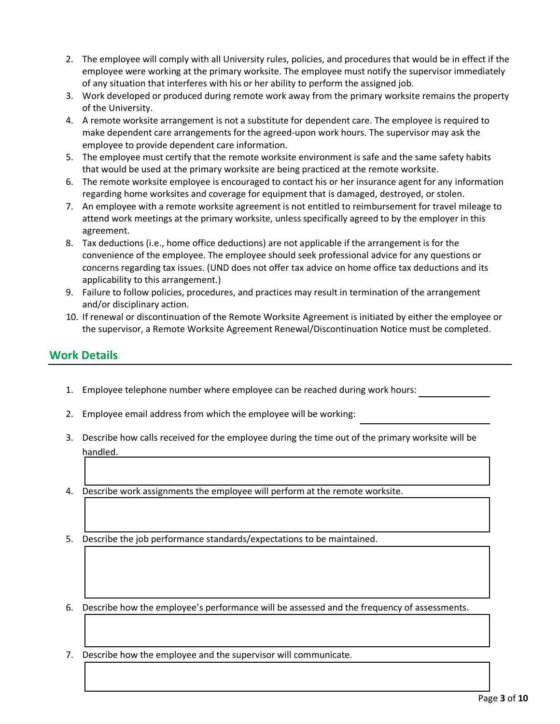- 2. The employee will comply with all University rules, policies, and procedures that would be in effect if the employee were working at the primary worksite. The employee must notify the supervisor immediately of any situation that interferes with his or her ability to perform the assigned job.
- 3. Work developed or produced during remote work away from the primary worksite remains the property of the University.
- 4. A remote worksite arrangement is not a substitute for dependent care. The employee is required to make dependent care arrangements for the agreed-upon work hours. The supervisor may ask the employee to provide dependent care information.
- 5. The employee must certify that the remote worksite environment is safe and the same safety habits that would be used at the primary worksite are being practiced at the remote worksite.
- 6. The remote worksite employee is encouraged to contact his or her insurance agent for any information regarding home worksites and coverage for equipment that is damaged, destroyed, or stolen.
- 7. An employee with a remote worksite agreement is not entitled to reimbursement for travel mileage to attend work meetings at the primary worksite, unless specifically agreed to by the employer in this agreement.
- 8. Tax deductions (i.e., home office deductions) are not applicable if the arrangement is for the convenience of the employee. The employee should seek professional advice for any questions or concerns regarding tax issues. (UND does not offer tax advice on home office tax deductions and its applicability to this arrangement.)
- 9. Failure to follow policies, procedures, and practices may result in termination of the arrangement and/or disciplinary action.
- 10. If renewal or discontinuation of the Remote Worksite Agreement is initiated by either the employee or the supervisor, a Remote Worksite Agreement Renewal/Discontinuation Notice must be completed.

# **Work Details**

- 1. Employee telephone number where employee can be reached during work hours:
- 2. Employee email address from which the employee will be working:
- 3. Describe how calls received for the employee during the time out of the primary worksite will be handled.
- 4. Describe work assignments the employee will perform at the remote worksite.
- 5. Describe the job performance standards/expectations to be maintained.
- 6. Describe how the employee's performance will be assessed and the frequency of assessments.
- 7. Describe how the employee and the supervisor will communicate.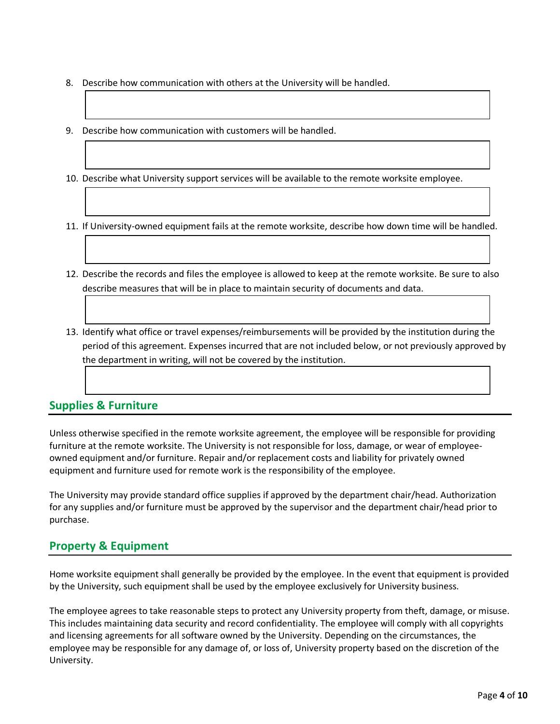- 8. Describe how communication with others at the University will be handled.
- 9. Describe how communication with customers will be handled.
- 10. Describe what University support services will be available to the remote worksite employee.
- 11. If University-owned equipment fails at the remote worksite, describe how down time will be handled.
- 12. Describe the records and files the employee is allowed to keep at the remote worksite. Be sure to also describe measures that will be in place to maintain security of documents and data.
- 13. Identify what office or travel expenses/reimbursements will be provided by the institution during the period of this agreement. Expenses incurred that are not included below, or not previously approved by the department in writing, will not be covered by the institution.

# **Supplies & Furniture**

Unless otherwise specified in the remote worksite agreement, the employee will be responsible for providing furniture at the remote worksite. The University is not responsible for loss, damage, or wear of employeeowned equipment and/or furniture. Repair and/or replacement costs and liability for privately owned equipment and furniture used for remote work is the responsibility of the employee.

The University may provide standard office supplies if approved by the department chair/head. Authorization for any supplies and/or furniture must be approved by the supervisor and the department chair/head prior to purchase.

# **Property & Equipment**

Home worksite equipment shall generally be provided by the employee. In the event that equipment is provided by the University, such equipment shall be used by the employee exclusively for University business.

The employee agrees to take reasonable steps to protect any University property from theft, damage, or misuse. This includes maintaining data security and record confidentiality. The employee will comply with all copyrights and licensing agreements for all software owned by the University. Depending on the circumstances, the employee may be responsible for any damage of, or loss of, University property based on the discretion of the University.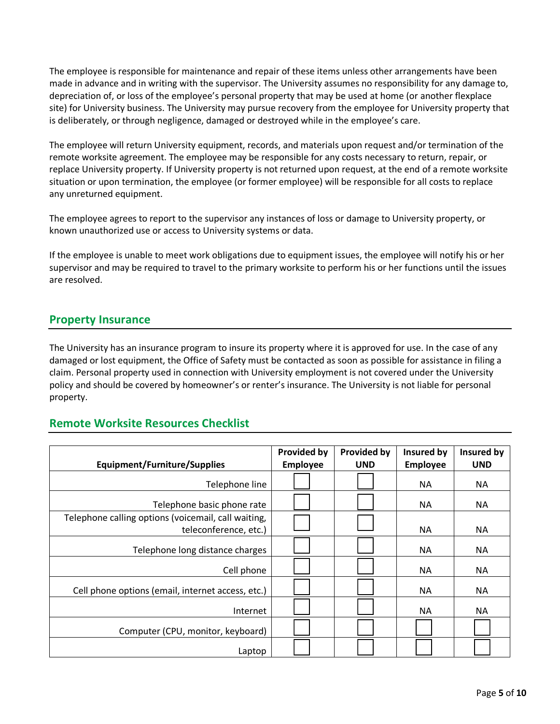The employee is responsible for maintenance and repair of these items unless other arrangements have been made in advance and in writing with the supervisor. The University assumes no responsibility for any damage to, depreciation of, or loss of the employee's personal property that may be used at home (or another flexplace site) for University business. The University may pursue recovery from the employee for University property that is deliberately, or through negligence, damaged or destroyed while in the employee's care.

The employee will return University equipment, records, and materials upon request and/or termination of the remote worksite agreement. The employee may be responsible for any costs necessary to return, repair, or replace University property. If University property is not returned upon request, at the end of a remote worksite situation or upon termination, the employee (or former employee) will be responsible for all costs to replace any unreturned equipment.

The employee agrees to report to the supervisor any instances of loss or damage to University property, or known unauthorized use or access to University systems or data.

If the employee is unable to meet work obligations due to equipment issues, the employee will notify his or her supervisor and may be required to travel to the primary worksite to perform his or her functions until the issues are resolved.

# **Property Insurance**

The University has an insurance program to insure its property where it is approved for use. In the case of any damaged or lost equipment, the Office of Safety must be contacted as soon as possible for assistance in filing a claim. Personal property used in connection with University employment is not covered under the University policy and should be covered by homeowner's or renter's insurance. The University is not liable for personal property.

### **Remote Worksite Resources Checklist**

| <b>Equipment/Furniture/Supplies</b>                 | <b>Provided by</b><br>Employee | <b>Provided by</b><br><b>UND</b> | Insured by<br><b>Employee</b> | Insured by<br><b>UND</b> |
|-----------------------------------------------------|--------------------------------|----------------------------------|-------------------------------|--------------------------|
|                                                     |                                |                                  |                               |                          |
| Telephone line                                      |                                |                                  | <b>NA</b>                     | ΝA                       |
| Telephone basic phone rate                          |                                |                                  | <b>NA</b>                     | <b>NA</b>                |
| Telephone calling options (voicemail, call waiting, |                                |                                  |                               |                          |
| teleconference, etc.)                               |                                |                                  | <b>NA</b>                     | ΝA                       |
| Telephone long distance charges                     |                                |                                  | <b>NA</b>                     | <b>NA</b>                |
| Cell phone                                          |                                |                                  | <b>NA</b>                     | <b>NA</b>                |
| Cell phone options (email, internet access, etc.)   |                                |                                  | <b>NA</b>                     | <b>NA</b>                |
| Internet                                            |                                |                                  | <b>NA</b>                     | <b>NA</b>                |
| Computer (CPU, monitor, keyboard)                   |                                |                                  |                               |                          |
| Laptop                                              |                                |                                  |                               |                          |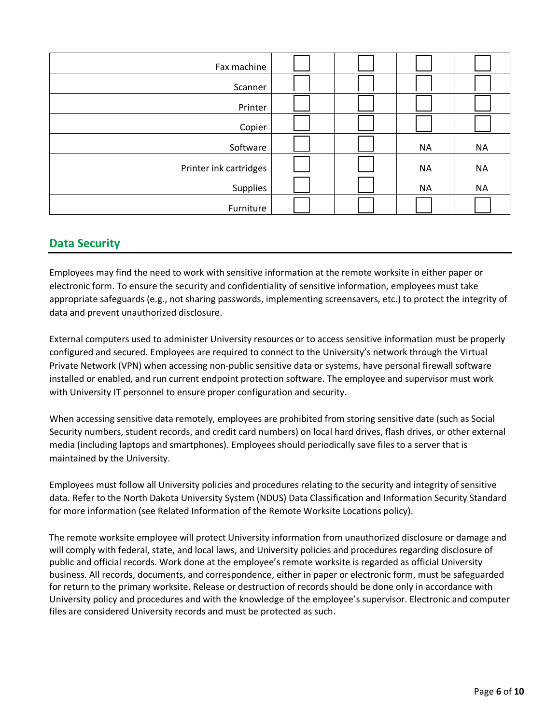| Fax machine            |  |           |           |
|------------------------|--|-----------|-----------|
| Scanner                |  |           |           |
| Printer                |  |           |           |
| Copier                 |  |           |           |
| Software               |  | <b>NA</b> | <b>NA</b> |
| Printer ink cartridges |  | <b>NA</b> | <b>NA</b> |
| Supplies               |  | <b>NA</b> | <b>NA</b> |
| Furniture              |  |           |           |

# **Data Security**

Employees may find the need to work with sensitive information at the remote worksite in either paper or electronic form. To ensure the security and confidentiality of sensitive information, employees must take appropriate safeguards (e.g., not sharing passwords, implementing screensavers, etc.) to protect the integrity of data and prevent unauthorized disclosure.

External computers used to administer University resources or to access sensitive information must be properly configured and secured. Employees are required to connect to the University's network through the Virtual Private Network (VPN) when accessing non-public sensitive data or systems, have personal firewall software installed or enabled, and run current endpoint protection software. The employee and supervisor must work with University IT personnel to ensure proper configuration and security.

When accessing sensitive data remotely, employees are prohibited from storing sensitive date (such as Social Security numbers, student records, and credit card numbers) on local hard drives, flash drives, or other external media (including laptops and smartphones). Employees should periodically save files to a server that is maintained by the University.

Employees must follow all University policies and procedures relating to the security and integrity of sensitive data. Refer to the North Dakota University System (NDUS) Data Classification and Information Security Standard for more information (see Related Information of the Remote Worksite Locations policy).

The remote worksite employee will protect University information from unauthorized disclosure or damage and will comply with federal, state, and local laws, and University policies and procedures regarding disclosure of public and official records. Work done at the employee's remote worksite is regarded as official University business. All records, documents, and correspondence, either in paper or electronic form, must be safeguarded for return to the primary worksite. Release or destruction of records should be done only in accordance with University policy and procedures and with the knowledge of the employee's supervisor. Electronic and computer files are considered University records and must be protected as such.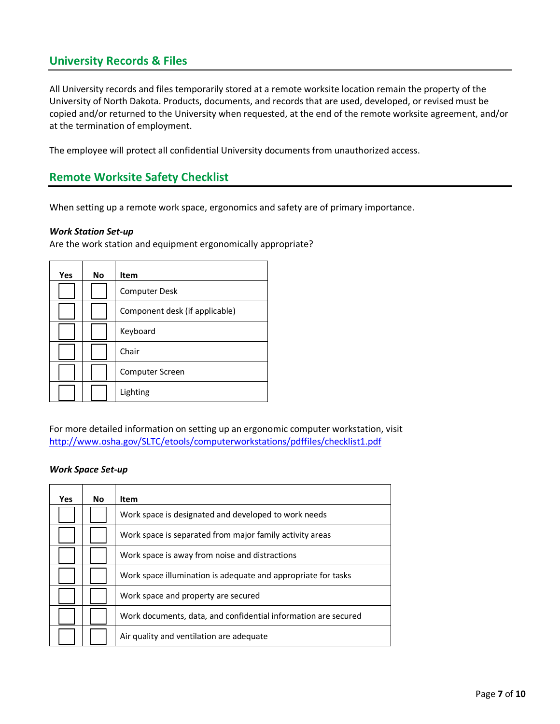# **University Records & Files**

All University records and files temporarily stored at a remote worksite location remain the property of the University of North Dakota. Products, documents, and records that are used, developed, or revised must be copied and/or returned to the University when requested, at the end of the remote worksite agreement, and/or at the termination of employment.

The employee will protect all confidential University documents from unauthorized access.

# **Remote Worksite Safety Checklist**

When setting up a remote work space, ergonomics and safety are of primary importance.

#### *Work Station Set-up*

Are the work station and equipment ergonomically appropriate?

| Yes | <b>No</b> | <b>Item</b>                    |
|-----|-----------|--------------------------------|
|     |           | <b>Computer Desk</b>           |
|     |           | Component desk (if applicable) |
|     |           | Keyboard                       |
|     |           | Chair                          |
|     |           | Computer Screen                |
|     |           | Lighting                       |

For more detailed information on setting up an ergonomic computer workstation, visit <http://www.osha.gov/SLTC/etools/computerworkstations/pdffiles/checklist1.pdf>

#### *Work Space Set-up*

| Yes | <b>No</b> | Item                                                           |
|-----|-----------|----------------------------------------------------------------|
|     |           | Work space is designated and developed to work needs           |
|     |           | Work space is separated from major family activity areas       |
|     |           | Work space is away from noise and distractions                 |
|     |           | Work space illumination is adequate and appropriate for tasks  |
|     |           | Work space and property are secured                            |
|     |           | Work documents, data, and confidential information are secured |
|     |           | Air quality and ventilation are adequate                       |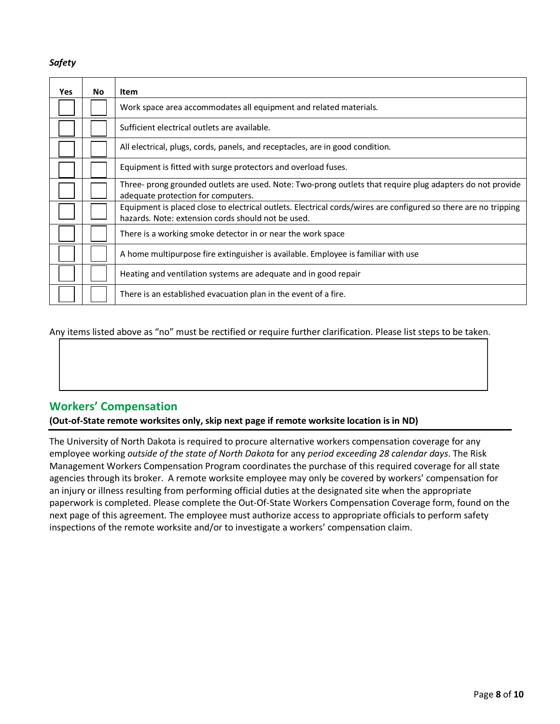#### *Safety*

| <b>Yes</b> | <b>No</b> | <b>Item</b>                                                                                                                                                           |
|------------|-----------|-----------------------------------------------------------------------------------------------------------------------------------------------------------------------|
|            |           | Work space area accommodates all equipment and related materials.                                                                                                     |
|            |           | Sufficient electrical outlets are available.                                                                                                                          |
|            |           | All electrical, plugs, cords, panels, and receptacles, are in good condition.                                                                                         |
|            |           | Equipment is fitted with surge protectors and overload fuses.                                                                                                         |
|            |           | Three- prong grounded outlets are used. Note: Two-prong outlets that require plug adapters do not provide<br>adequate protection for computers.                       |
|            |           | Equipment is placed close to electrical outlets. Electrical cords/wires are configured so there are no tripping<br>hazards. Note: extension cords should not be used. |
|            |           | There is a working smoke detector in or near the work space                                                                                                           |
|            |           | A home multipurpose fire extinguisher is available. Employee is familiar with use                                                                                     |
|            |           | Heating and ventilation systems are adequate and in good repair                                                                                                       |
|            |           | There is an established evacuation plan in the event of a fire.                                                                                                       |

Any items listed above as "no" must be rectified or require further clarification. Please list steps to be taken.

# **Workers' Compensation**

**(Out-of-State remote worksites only, skip next page if remote worksite location is in ND)** 

 agencies through its broker. A remote worksite employee may only be covered by workers' compensation for inspections of the remote worksite and/or to investigate a workers' compensation claim. The University of North Dakota is required to procure alternative workers compensation coverage for any employee working *outside of the state of North Dakota* for any *period exceeding 28 calendar days*. The Risk Management Workers Compensation Program coordinates the purchase of this required coverage for all state an injury or illness resulting from performing official duties at the designated site when the appropriate paperwork is completed. Please complete the Out-Of-State Workers Compensation Coverage form, found on the next page of this agreement. The employee must authorize access to appropriate officials to perform safety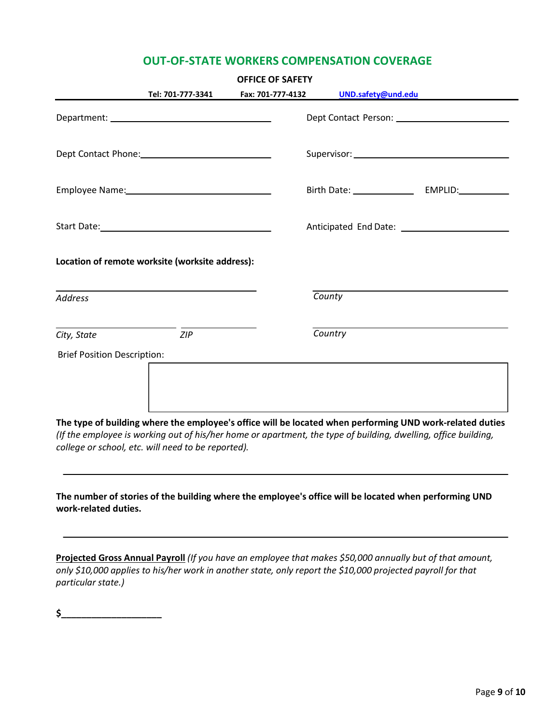### **OUT-OF-STATE WORKERS COMPENSATION COVERAGE**

| <b>OFFICE OF SAFETY</b>                            |                                                                                                                                                                                                                            |  |  |
|----------------------------------------------------|----------------------------------------------------------------------------------------------------------------------------------------------------------------------------------------------------------------------------|--|--|
| Tel: 701-777-3341                                  | Fax: 701-777-4132<br>UND.safety@und.edu                                                                                                                                                                                    |  |  |
|                                                    |                                                                                                                                                                                                                            |  |  |
|                                                    |                                                                                                                                                                                                                            |  |  |
|                                                    |                                                                                                                                                                                                                            |  |  |
|                                                    |                                                                                                                                                                                                                            |  |  |
| Location of remote worksite (worksite address):    |                                                                                                                                                                                                                            |  |  |
| <b>Address</b>                                     | County                                                                                                                                                                                                                     |  |  |
| ZIP<br>City, State                                 | Country                                                                                                                                                                                                                    |  |  |
| <b>Brief Position Description:</b>                 |                                                                                                                                                                                                                            |  |  |
| college or school, etc. will need to be reported). | The type of building where the employee's office will be located when performing UND work-related duties<br>(If the employee is working out of his/her home or apartment, the type of building, dwelling, office building, |  |  |
| work-related duties.                               | The number of stories of the building where the employee's office will be located when performing UND                                                                                                                      |  |  |

Projected Gross Annual Payroll (If you have an employee that makes \$50,000 annually but of that amount, *only \$10,000 applies to his/her work in another state, only report the \$10,000 projected payroll for that particular state.)* 

**\$\_\_\_\_\_\_\_\_\_\_\_\_\_\_\_\_\_\_\_\_**